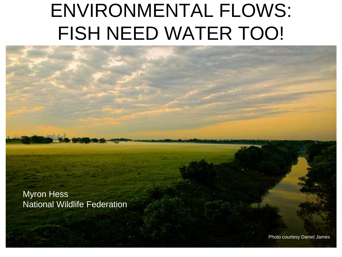## ENVIRONMENTAL FLOWS: FISH NEED WATER TOO!

Myron Hess National Wildlife Federation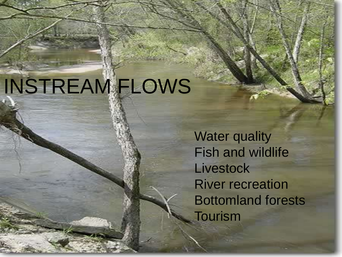# INSTREAM FLOWS

Water quality Fish and wildlife **Livestock** River recreation Bottomland forests **Tourism**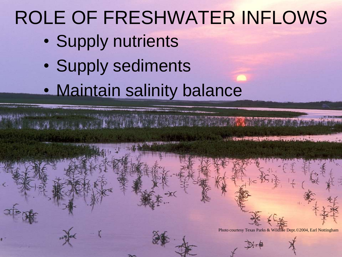## ROLE OF FRESHWATER INFLOWS

- Supply nutrients
- Supply sediments
- Maintain salinity balance

Photo courtesy Texas Parks & Wildlife Dept.©2004, Earl Nottingham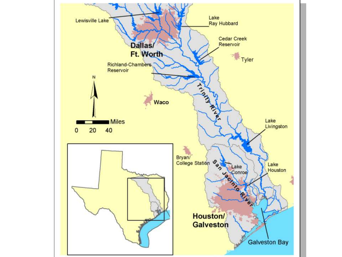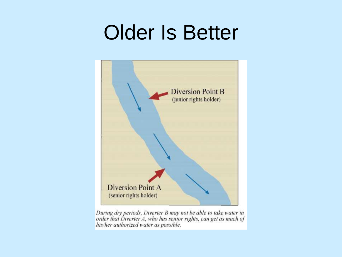## Older Is Better



During dry periods, Diverter B may not be able to take water in order that Diverter A, who has senior rights, can get as much of his/her authorized water as possible.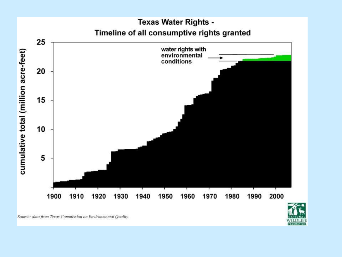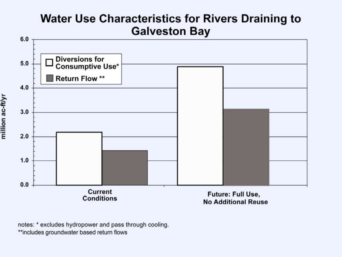### **Water Use Characteristics for Rivers Draining to Galveston Bay**



notes: \* excludes hydropower and pass through cooling. \*\*includes groundwater based return flows

million ac-ft/yr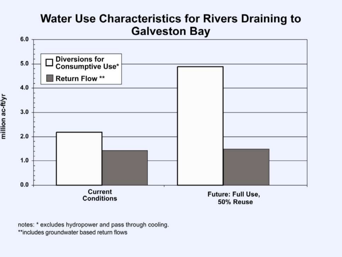### **Water Use Characteristics for Rivers Draining to Galveston Bay**



notes: \* excludes hydropower and pass through cooling. \*\*includes groundwater based return flows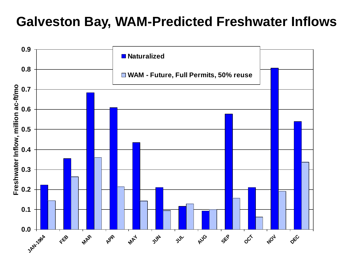### **Galveston Bay, WAM-Predicted Freshwater Inflows**

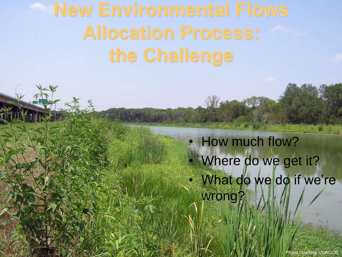# **Allocation Process: the Challenge**

### How much flow? Where do we get it? What do we do if we're wrong?

Photo courtesy USACOE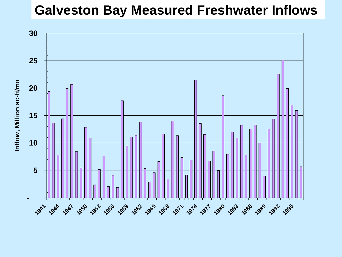### **Galveston Bay Measured Freshwater Inflows**

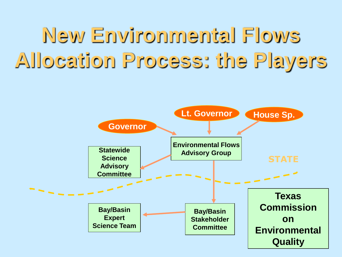## **New Environmental Flows Allocation Process: the Players**

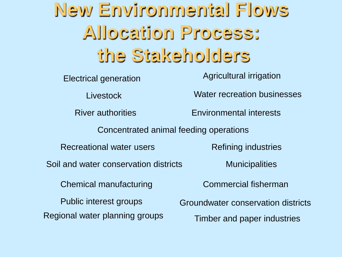## **New Environmental Flows Allocation Process: the Stakeholders**

Electrical generation

**Livestock** 

Agricultural irrigation

Water recreation businesses

River authorities Environmental interests

Concentrated animal feeding operations

Recreational water users

Soil and water conservation districts Municipalities

Refining industries

Chemical manufacturing

Public interest groups

Regional water planning groups

Commercial fisherman

Groundwater conservation districts Timber and paper industries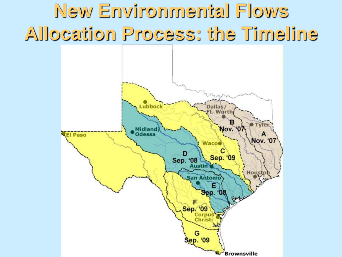## **New Environmental Flows Allocation Process: the Timeline**